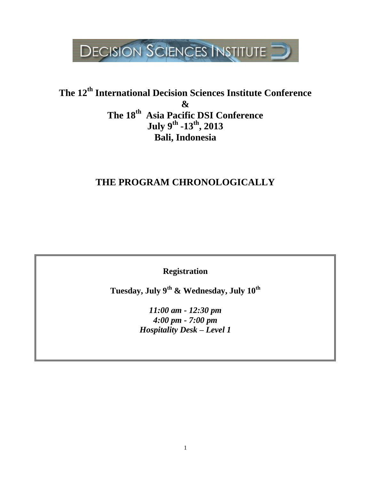

## **The 12th International Decision Sciences Institute Conference & The 18th Asia Pacific DSI Conference July 9th -13th, 2013 Bali, Indonesia**

## **THE PROGRAM CHRONOLOGICALLY**

**Registration**

**Tuesday, July 9th & Wednesday, July 10th**

*11:00 am - 12:30 pm 4:00 pm - 7:00 pm Hospitality Desk – Level 1*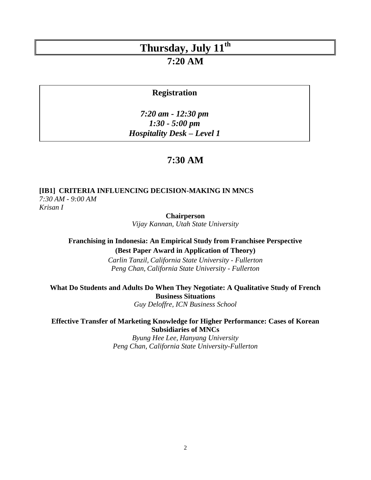### **7:20 AM**

#### **Registration**

*7:20 am - 12:30 pm 1:30 - 5:00 pm Hospitality Desk – Level 1* 

### **7:30 AM**

#### **[IB1] CRITERIA INFLUENCING DECISION-MAKING IN MNCS** *7:30 AM - 9:00 AM*

*Krisan I*

**Chairperson**

*Vijay Kannan, Utah State University*

#### **Franchising in Indonesia: An Empirical Study from Franchisee Perspective (Best Paper Award in Application of Theory)**

*Carlin Tanzil, California State University - Fullerton Peng Chan, California State University - Fullerton*

**What Do Students and Adults Do When They Negotiate: A Qualitative Study of French Business Situations**

*Guy Deloffre, ICN Business School*

#### **Effective Transfer of Marketing Knowledge for Higher Performance: Cases of Korean Subsidiaries of MNCs**

*Byung Hee Lee, Hanyang University Peng Chan, California State University-Fullerton*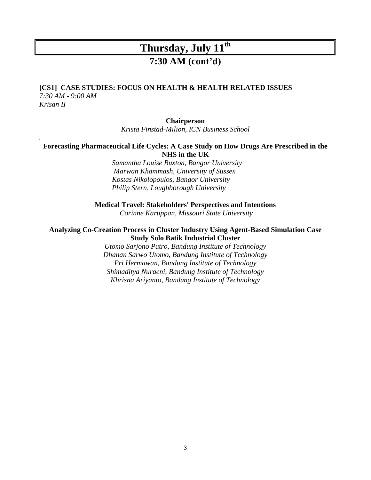### **7:30 AM (cont'd)**

#### **[CS1] CASE STUDIES: FOCUS ON HEALTH & HEALTH RELATED ISSUES**

*7:30 AM - 9:00 AM Krisan II*

*.*

#### **Chairperson**

*Krista Finstad-Milion, ICN Business School*

#### **Forecasting Pharmaceutical Life Cycles: A Case Study on How Drugs Are Prescribed in the NHS in the UK**

*Samantha Louise Buxton, Bangor University Marwan Khammash, University of Sussex Kostas Nikolopoulos, Bangor University Philip Stern, Loughborough University*

**Medical Travel: Stakeholders' Perspectives and Intentions**

*Corinne Karuppan, Missouri State University*

#### **Analyzing Co-Creation Process in Cluster Industry Using Agent-Based Simulation Case Study Solo Batik Industrial Cluster**

*Utomo Sarjono Putro, Bandung Institute of Technology Dhanan Sarwo Utomo, Bandung Institute of Technology Pri Hermawan, Bandung Institute of Technology Shimaditya Nuraeni, Bandung Institute of Technology Khrisna Ariyanto, Bandung Institute of Technology*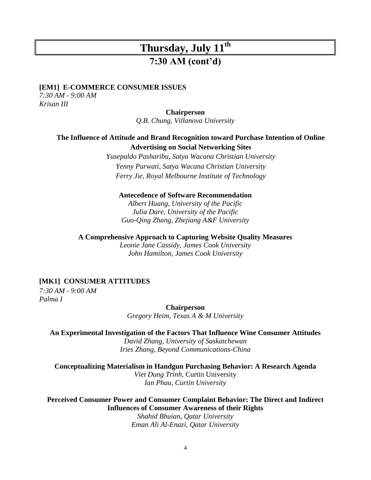### **7:30 AM (cont'd)**

#### **[EM1] E-COMMERCE CONSUMER ISSUES**

*7:30 AM - 9:00 AM Krisan III*

#### **Chairperson**

*Q.B. Chung, Villanova University*

#### **The Influence of Attitude and Brand Recognition toward Purchase Intention of Online Advertising on Social Networking Sites**

*Yusepaldo Pasharibu, Satya Wacana Christian University Yenny Purwati, Satya Wacana Christian University Ferry Jie, Royal Melbourne Institute of Technology*

#### **Antecedence of Software Recommendation**

*Albert Huang, University of the Pacific Julia Dare, University of the Pacific Guo-Qing Zhang, Zhejiang A&F University*

#### **A Comprehensive Approach to Capturing Website Quality Measures**

*Leonie Jane Cassidy, James Cook University John Hamilton, James Cook University*

#### **[MK1] CONSUMER ATTITUDES**

*7:30 AM - 9:00 AM Palma I*

**Chairperson**

*Gregory Heim, Texas A & M University*

#### **An Experimental Investigation of the Factors That Influence Wine Consumer Attitudes**

*David Zhang, University of Saskatchewan Iries Zhang, Beyond Communications-China*

**Conceptualizing Materialism in Handgun Purchasing Behavior: A Research Agenda** *Viet Dung Trinh,* Curtin University *Ian Phau, Curtin University*

**Perceived Consumer Power and Consumer Complaint Behavior: The Direct and Indirect Influences of Consumer Awareness of their Rights**

*Shahid Bhuian, Qatar University Eman Ali Al-Enazi, Qatar University*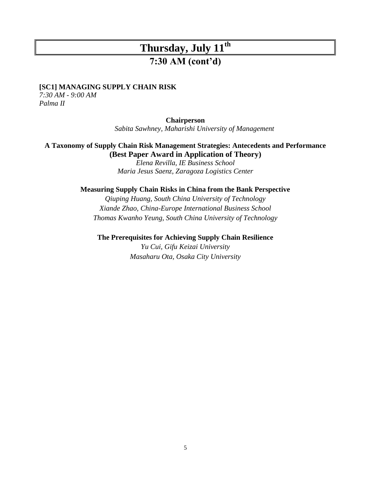## **7:30 AM (cont'd)**

#### **[SC1] MANAGING SUPPLY CHAIN RISK**

*7:30 AM - 9:00 AM Palma II*

#### **Chairperson**

*Sabita Sawhney, Maharishi University of Management*

#### **A Taxonomy of Supply Chain Risk Management Strategies: Antecedents and Performance (Best Paper Award in Application of Theory)**

*Elena Revilla, IE Business School Maria Jesus Saenz, Zaragoza Logistics Center*

#### **Measuring Supply Chain Risks in China from the Bank Perspective**

*Qiuping Huang, South China University of Technology Xiande Zhao, China-Europe International Business School Thomas Kwanho Yeung, South China University of Technology*

**The Prerequisites for Achieving Supply Chain Resilience**

*Yu Cui, Gifu Keizai University Masaharu Ota, Osaka City University*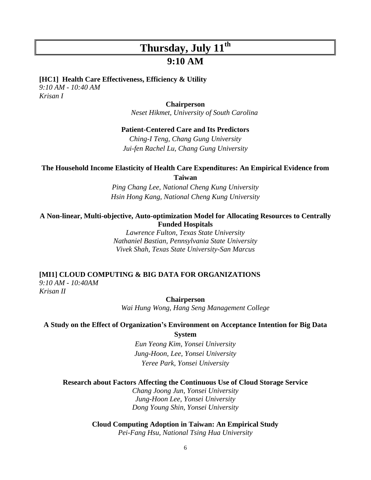### **9:10 AM**

#### **[HC1] Health Care Effectiveness, Efficiency & Utility**

*9:10 AM - 10:40 AM Krisan I*

#### **Chairperson**

*Neset Hikmet, University of South Carolina*

#### **Patient-Centered Care and Its Predictors**

*Ching-I Teng, Chang Gung University Jui-fen Rachel Lu, Chang Gung University*

#### **The Household Income Elasticity of Health Care Expenditures: An Empirical Evidence from Taiwan**

*Ping Chang Lee, National Cheng Kung University Hsin Hong Kang, National Cheng Kung University*

#### **A Non-linear, Multi-objective, Auto-optimization Model for Allocating Resources to Centrally Funded Hospitals**

*Lawrence Fulton, Texas State University Nathaniel Bastian, Pennsylvania State University Vivek Shah, Texas State University-San Marcus*

#### **[MI1] CLOUD COMPUTING & BIG DATA FOR ORGANIZATIONS** *9:10 AM - 10:40AM Krisan II*

**Chairperson** *Wai Hung Wong, Hang Seng Management College*

#### **A Study on the Effect of Organization's Environment on Acceptance Intention for Big Data**

**System**

*Eun Yeong Kim, Yonsei University Jung-Hoon, Lee, Yonsei University Yeree Park, Yonsei University*

#### **Research about Factors Affecting the Continuous Use of Cloud Storage Service**

*Chang Joong Jun, Yonsei University Jung-Hoon Lee, Yonsei University Dong Young Shin, Yonsei University*

### **Cloud Computing Adoption in Taiwan: An Empirical Study**

*Pei-Fang Hsu, National Tsing Hua University*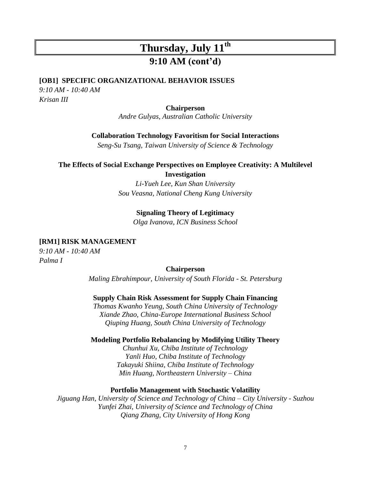## **9:10 AM (cont'd)**

#### **[OB1] SPECIFIC ORGANIZATIONAL BEHAVIOR ISSUES**

*9:10 AM - 10:40 AM Krisan III*

#### **Chairperson**

*Andre Gulyas, Australian Catholic University*

#### **Collaboration Technology Favoritism for Social Interactions**

*Seng-Su Tsang, Taiwan University of Science & Technology*

#### **The Effects of Social Exchange Perspectives on Employee Creativity: A Multilevel Investigation**

*Li-Yueh Lee, Kun Shan University Sou Veasna, National Cheng Kung University*

#### **Signaling Theory of Legitimacy**

*Olga Ivanova, ICN Business School*

#### **[RM1] RISK MANAGEMENT**

*9:10 AM - 10:40 AM Palma I*

#### **Chairperson**

*Maling Ebrahimpour, University of South Florida - St. Petersburg*

#### **[Supply Chain Risk Assessment for Supply Chain Financing](http://www.conferencemgt.com/conf/IDSI13/up/P130131005.pdf)**

*Thomas Kwanho Yeung, South China University of Technology Xiande Zhao, China-Europe International Business School Qiuping Huang, South China University of Technology*

#### **Modeling Portfolio Rebalancing by Modifying Utility Theory**

*Chunhui Xu, Chiba Institute of Technology Yanli Huo, Chiba Institute of Technology Takayuki Shiina, Chiba Institute of Technology Min Huang, Northeastern University – China*

#### **Portfolio Management with Stochastic Volatility**

*Jiguang Han, University of Science and Technology of China – City University - Suzhou Yunfei Zhai, University of Science and Technology of China Qiang Zhang, City University of Hong Kong*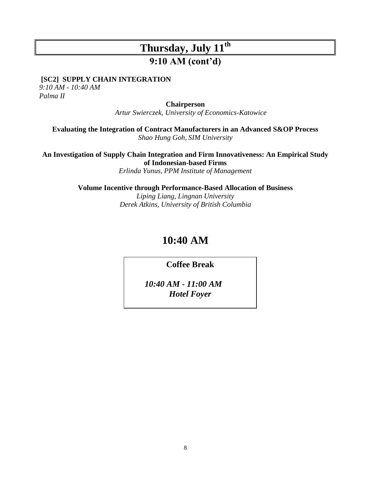## **9:10 AM (cont'd)**

**[SC2] SUPPLY CHAIN INTEGRATION**

*9:10 AM - 10:40 AM Palma II*

**Chairperson**

*Artur Swierczek, University of Economics-Katowice*

**Evaluating the Integration of Contract Manufacturers in an Advanced S&OP Process** *Shao Hung Goh, SIM University*

**An Investigation of Supply Chain Integration and Firm Innovativeness: An Empirical Study of Indonesian-based Firms**

*Erlinda Yunus, PPM Institute of Management*

**Volume Incentive through Performance-Based Allocation of Business** *Liping Liang, Lingnan University Derek Atkins, University of British Columbia*

## **10:40 AM**

**Coffee Break**

*10:40 AM - 11:00 AM Hotel Foyer*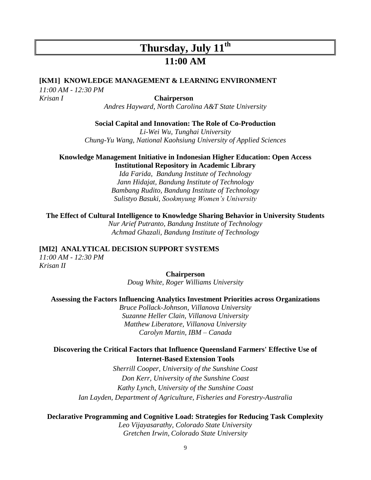## **Thursday, July 11th 11:00 AM**

#### **[KM1] KNOWLEDGE MANAGEMENT & LEARNING ENVIRONMENT**

*11:00 AM - 12:30 PM Krisan I* **Chairperson**

*Andres Hayward, North Carolina A&T State University*

#### **Social Capital and Innovation: The Role of Co-Production**

*Li-Wei Wu, Tunghai University Chung-Yu Wang, National Kaohsiung University of Applied Sciences*

#### **Knowledge Management Initiative in Indonesian Higher Education: Open Access Institutional Repository in Academic Library**

*Ida Farida, Bandung Institute of Technology Jann Hidajat, Bandung Institute of Technology Bambang Rudito, Bandung Institute of Technology Sulistyo Basuki, Sookmyung Women's University*

#### **The Effect of Cultural Intelligence to Knowledge Sharing Behavior in University Students**

*Nur Arief Putranto, Bandung Institute of Technology Achmad Ghazali, Bandung Institute of Technology*

#### **[MI2] ANALYTICAL DECISION SUPPORT SYSTEMS**

*11:00 AM - 12:30 PM Krisan II*

#### **Chairperson**

*Doug White, Roger Williams University*

#### **Assessing the Factors Influencing Analytics Investment Priorities across Organizations**

*Bruce Pollack-Johnson, Villanova University Suzanne Heller Clain, Villanova University Matthew Liberatore, Villanova University Carolyn Martin, IBM – Canada*

#### **Discovering the Critical Factors that Influence Queensland Farmers' Effective Use of Internet-Based Extension Tools**

*Sherrill Cooper, University of the Sunshine Coast Don Kerr, University of the Sunshine Coast Kathy Lynch, University of the Sunshine Coast Ian Layden, Department of Agriculture, Fisheries and Forestry-Australia*

#### **Declarative Programming and Cognitive Load: Strategies for Reducing Task Complexity**

*Leo Vijayasarathy, Colorado State University Gretchen Irwin, Colorado State University*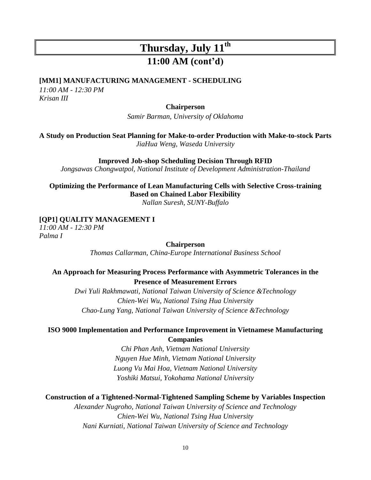## **Thursday, July 11th 11:00 AM (cont'd)**

#### **[MM1] MANUFACTURING MANAGEMENT - SCHEDULING**

*11:00 AM - 12:30 PM Krisan III*

#### **Chairperson**

*Samir Barman, University of Oklahoma*

**A Study on Production Seat Planning for Make-to-order Production with Make-to-stock Parts** *JiaHua Weng, Waseda University*

**Improved Job-shop Scheduling Decision Through RFID**

*Jongsawas Chongwatpol, National Institute of Development Administration-Thailand*

**Optimizing the Performance of Lean Manufacturing Cells with Selective Cross-training Based on Chained Labor Flexibility**

*Nallan Suresh, SUNY-Buffalo*

#### **[QP1] QUALITY MANAGEMENT I**

*11:00 AM - 12:30 PM Palma I*

#### **Chairperson**

*Thomas Callarman, China-Europe International Business School*

#### **An Approach for Measuring Process Performance with Asymmetric Tolerances in the Presence of Measurement Errors**

*Dwi Yuli Rakhmawati, National Taiwan University of Science &Technology Chien-Wei Wu, National Tsing Hua University Chao-Lung Yang, National Taiwan University of Science &Technology*

#### **ISO 9000 Implementation and Performance Improvement in Vietnamese Manufacturing Companies**

*Chi Phan Anh, Vietnam National University Nguyen Hue Minh, Vietnam National University Luong Vu Mai Hoa, Vietnam National University Yoshiki Matsui, Yokohama National University*

#### **Construction of a Tightened-Normal-Tightened Sampling Scheme by Variables Inspection**

*Alexander Nugroho, National Taiwan University of Science and Technology Chien-Wei Wu, National Tsing Hua University Nani Kurniati, National Taiwan University of Science and Technology*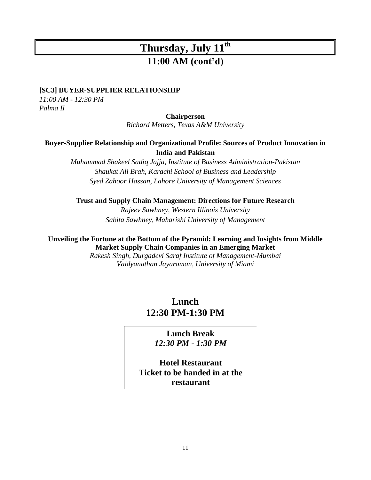### **11:00 AM (cont'd)**

#### **[SC3] BUYER-SUPPLIER RELATIONSHIP**

*11:00 AM - 12:30 PM Palma II*

#### **Chairperson**

*Richard Metters, Texas A&M University*

#### **Buyer-Supplier Relationship and Organizational Profile: Sources of Product Innovation in India and Pakistan**

*Muhammad Shakeel Sadiq Jajja, Institute of Business Administration-Pakistan Shaukat Ali Brah, Karachi School of Business and Leadership Syed Zahoor Hassan, Lahore University of Management Sciences*

**Trust and Supply Chain Management: Directions for Future Research** *Rajeev Sawhney, Western Illinois University Sabita Sawhney, Maharishi University of Management*

**Unveiling the Fortune at the Bottom of the Pyramid: Learning and Insights from Middle Market Supply Chain Companies in an Emerging Market**

> *Rakesh Singh, Durgadevi Saraf Institute of Management-Mumbai Vaidyanathan Jayaraman, University of Miami*

### **Lunch 12:30 PM-1:30 PM**

### **Lunch Break** *12:30 PM - 1:30 PM*

**Hotel Restaurant Ticket to be handed in at the restaurant**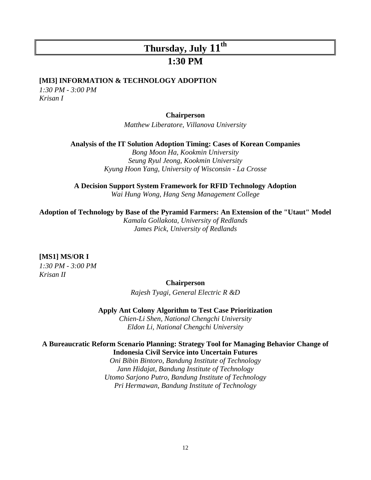### **1:30 PM**

#### **[MI3] INFORMATION & TECHNOLOGY ADOPTION**

*1:30 PM - 3:00 PM Krisan I*

#### **Chairperson**

*Matthew Liberatore, Villanova University*

**Analysis of the IT Solution Adoption Timing: Cases of Korean Companies**

*Bong Moon Ha, Kookmin University Seung Ryul Jeong, Kookmin University Kyung Hoon Yang, University of Wisconsin - La Crosse*

**A Decision Support System Framework for RFID Technology Adoption**

*Wai Hung Wong, Hang Seng Management College*

#### **Adoption of Technology by Base of the Pyramid Farmers: An Extension of the "Utaut" Model**

*Kamala Gollakota, University of Redlands James Pick, University of Redlands*

#### **[MS1] MS/OR I**

*1:30 PM - 3:00 PM Krisan II*

#### **Chairperson**

*Rajesh Tyagi, General Electric R &D*

**Apply Ant Colony Algorithm to Test Case Prioritization**

*Chien-Li Shen, National Chengchi University Eldon Li, National Chengchi University*

#### **A Bureaucratic Reform Scenario Planning: Strategy Tool for Managing Behavior Change of Indonesia Civil Service into Uncertain Futures**

*Oni Bibin Bintoro, Bandung Institute of Technology Jann Hidajat, Bandung Institute of Technology Utomo Sarjono Putro, Bandung Institute of Technology Pri Hermawan, Bandung Institute of Technology*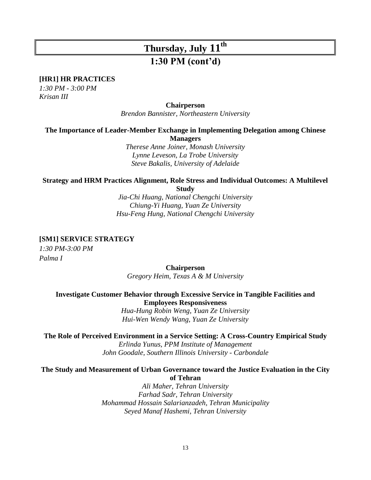## **Thursday, July 11th 1:30 PM (cont'd)**

#### **[HR1] HR PRACTICES**

*1:30 PM - 3:00 PM Krisan III*

#### **Chairperson**

*Brendon Bannister, Northeastern University*

#### **The Importance of Leader-Member Exchange in Implementing Delegation among Chinese Managers**

*Therese Anne Joiner, Monash University Lynne Leveson, La Trobe University Steve Bakalis, University of Adelaide*

### **Strategy and HRM Practices Alignment, Role Stress and Individual Outcomes: A Multilevel**

**Study**

*Jia-Chi Huang, National Chengchi University Chiung-Yi Huang, Yuan Ze University Hsu-Feng Hung, National Chengchi University*

#### **[SM1] SERVICE STRATEGY**

*1:30 PM-3:00 PM Palma I* 

#### **Chairperson**

*Gregory Heim, Texas A & M University*

#### **Investigate Customer Behavior through Excessive Service in Tangible Facilities and Employees Responsiveness**

*Hua-Hung Robin Weng, Yuan Ze University Hui-Wen Wendy Wang, Yuan Ze University*

#### **The Role of Perceived Environment in a Service Setting: A Cross-Country Empirical Study**

*Erlinda Yunus, PPM Institute of Management John Goodale, Southern Illinois University - Carbondale*

#### **The Study and Measurement of Urban Governance toward the Justice Evaluation in the City of Tehran**

*Ali Maher, Tehran University Farhad Sadr, Tehran University Mohammad Hossain Salarianzadeh, Tehran Municipality Seyed Manaf Hashemi, Tehran University*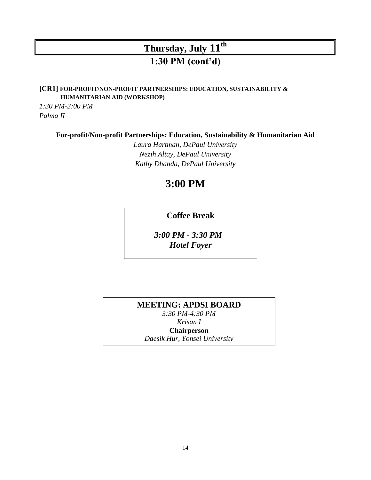## **Thursday, July 11th 1:30 PM (cont'd)**

**[CR1] FOR-PROFIT/NON-PROFIT PARTNERSHIPS: EDUCATION, SUSTAINABILITY & HUMANITARIAN AID (WORKSHOP)**

*1:30 PM-3:00 PM Palma II*

**For-profit/Non-profit Partnerships: Education, Sustainability & Humanitarian Aid**

*Laura Hartman, DePaul University Nezih Altay, DePaul University Kathy Dhanda, DePaul University*

## **3:00 PM**

**Coffee Break**

*3:00 PM - 3:30 PM Hotel Foyer*

**MEETING: APDSI BOARD**  *3:30 PM-4:30 PM Krisan I* **Chairperson** *Daesik Hur, Yonsei University*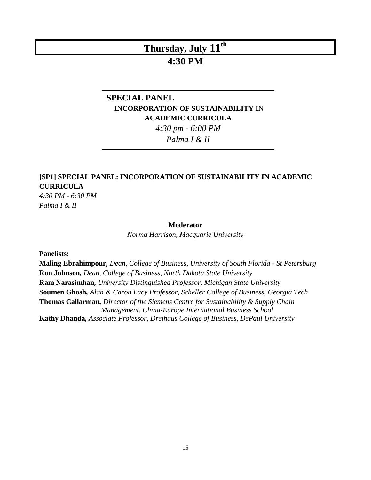### **4:30 PM**

### **SPECIAL PANEL INCORPORATION OF SUSTAINABILITY IN ACADEMIC CURRICULA**

*4:30 pm - 6:00 PM*

*Palma I & II*

### **[SP1] SPECIAL PANEL: INCORPORATION OF SUSTAINABILITY IN ACADEMIC CURRICULA**

*4:30 PM - 6:30 PM Palma I & II*

#### **Moderator**

*Norma Harrison, Macquarie University*

**Panelists:**

**Maling Ebrahimpour***, Dean, College of Business, University of South Florida - St Petersburg* **Ron Johnson***, Dean, College of Business, North Dakota State University* **Ram Narasimhan***, University Distinguished Professor, Michigan State University* **Soumen Ghosh***, Alan & Caron Lacy Professor, Scheller College of Business, Georgia Tech* **Thomas Callarman***, Director of the Siemens Centre for Sustainability & Supply Chain Management, China-Europe International Business School* **Kathy Dhanda***, Associate Professor, Dreihaus College of Business, DePaul University*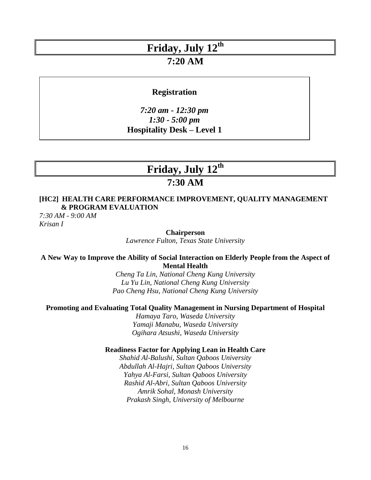### **7:20 AM**

#### **Registration**

*7:20 am - 12:30 pm 1:30 - 5:00 pm*  **Hospitality Desk – Level 1**

## **Friday, July 12th**

### **7:30 AM**

#### **[HC2] HEALTH CARE PERFORMANCE IMPROVEMENT, QUALITY MANAGEMENT & PROGRAM EVALUATION**

*7:30 AM - 9:00 AM Krisan I*

**Chairperson**

*Lawrence Fulton, Texas State University*

#### **A New Way to Improve the Ability of Social Interaction on Elderly People from the Aspect of Mental Health**

*Cheng Ta Lin, National Cheng Kung University Lu Yu Lin, National Cheng Kung University Pao Cheng Hsu, National Cheng Kung University*

#### **Promoting and Evaluating Total Quality Management in Nursing Department of Hospital**

*Hamaya Taro, Waseda University Yamaji Manabu, Waseda University Ogihara Atsushi, Waseda University*

#### **Readiness Factor for Applying Lean in Health Care**

*Shahid Al-Balushi, Sultan Qaboos University Abdullah Al-Hajri, Sultan Qaboos University Yahya Al-Farsi, Sultan Qaboos University Rashid Al-Abri, Sultan Qaboos University Amrik Sohal, Monash University Prakash Singh, University of Melbourne*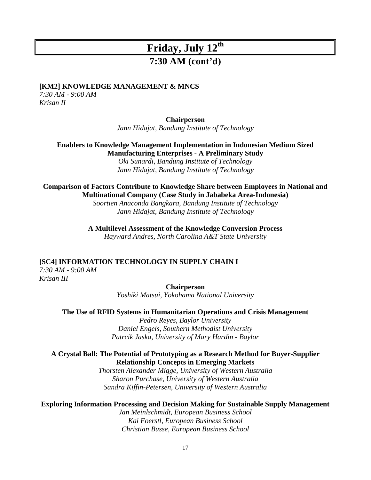### **7:30 AM (cont'd)**

#### **[KM2] KNOWLEDGE MANAGEMENT & MNCS**

*7:30 AM - 9:00 AM Krisan II*

#### **Chairperson**

*Jann Hidajat, Bandung Institute of Technology*

#### **Enablers to Knowledge Management Implementation in Indonesian Medium Sized Manufacturing Enterprises - A Preliminary Study**

*Oki Sunardi, Bandung Institute of Technology Jann Hidajat, Bandung Institute of Technology*

#### **Comparison of Factors Contribute to Knowledge Share between Employees in National and Multinational Company (Case Study in Jababeka Area-Indonesia)**

*Soortien Anaconda Bangkara, Bandung Institute of Technology Jann Hidajat, Bandung Institute of Technology*

## **A Multilevel Assessment of the Knowledge Conversion Process**

*Hayward Andres, North Carolina A&T State University*

#### **[SC4] INFORMATION TECHNOLOGY IN SUPPLY CHAIN I**

*7:30 AM - 9:00 AM Krisan III*

#### **Chairperson**

*Yoshiki Matsui, Yokohama National University*

#### **The Use of RFID Systems in Humanitarian Operations and Crisis Management**

*Pedro Reyes, Baylor University Daniel Engels, Southern Methodist University Patrcik Jaska, University of Mary Hardin - Baylor*

#### **A Crystal Ball: The Potential of Prototyping as a Research Method for Buyer-Supplier Relationship Concepts in Emerging Markets**

*Thorsten Alexander Migge, University of Western Australia Sharon Purchase, University of Western Australia Sandra Kiffin-Petersen, University of Western Australia* 

#### **Exploring Information Processing and Decision Making for Sustainable Supply Management**

*Jan Meinlschmidt, European Business School Kai Foerstl, European Business School Christian Busse, European Business School*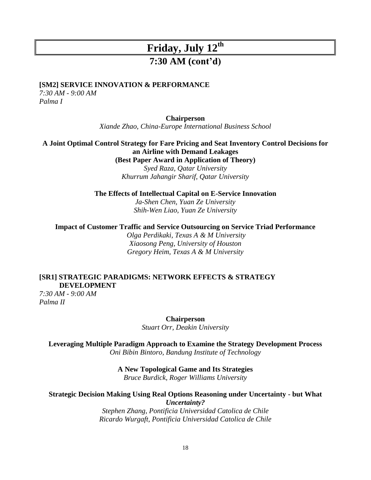### **7:30 AM (cont'd)**

#### **[SM2] SERVICE INNOVATION & PERFORMANCE**

*7:30 AM - 9:00 AM Palma I*

**Chairperson**

*Xiande Zhao, China-Europe International Business School*

#### **A Joint Optimal Control Strategy for Fare Pricing and Seat Inventory Control Decisions for an Airline with Demand Leakages**

**(Best Paper Award in Application of Theory)**

*Syed Raza, Qatar University Khurrum Jahangir Sharif, Qatar University*

**The Effects of Intellectual Capital on E-Service Innovation**

*Ja-Shen Chen, Yuan Ze University Shih-Wen Liao, Yuan Ze University*

**Impact of Customer Traffic and Service Outsourcing on Service Triad Performance**

*Olga Perdikaki, Texas A & M University Xiaosong Peng, University of Houston Gregory Heim, Texas A & M University*

#### **[SR1] STRATEGIC PARADIGMS: NETWORK EFFECTS & STRATEGY DEVELOPMENT**

*7:30 AM - 9:00 AM Palma II*

**Chairperson**

*Stuart Orr, Deakin University*

**Leveraging Multiple Paradigm Approach to Examine the Strategy Development Process** *Oni Bibin Bintoro, Bandung Institute of Technology*

#### **A New Topological Game and Its Strategies**

*Bruce Burdick, Roger Williams University*

#### **Strategic Decision Making Using Real Options Reasoning under Uncertainty - but What**  *Uncertainty?*

*Stephen Zhang, Pontificia Universidad Catolica de Chile Ricardo Wurgaft, Pontificia Universidad Catolica de Chile*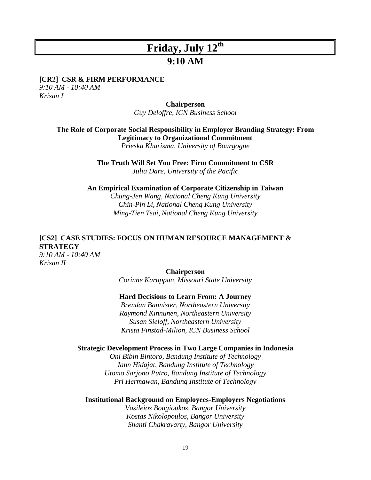### **9:10 AM**

#### **[CR2] CSR & FIRM PERFORMANCE**

*9:10 AM - 10:40 AM Krisan I*

#### **Chairperson**

*Guy Deloffre, ICN Business School*

**The Role of Corporate Social Responsibility in Employer Branding Strategy: From Legitimacy to Organizational Commitment** *Prieska Kharisma, University of Bourgogne*

**The Truth Will Set You Free: Firm Commitment to CSR**

*Julia Dare, University of the Pacific*

**An Empirical Examination of Corporate Citizenship in Taiwan**

*Chung-Jen Wang, National Cheng Kung University Chin-Pin Li, National Cheng Kung University Ming-Tien Tsai, National Cheng Kung University*

### **[CS2] CASE STUDIES: FOCUS ON HUMAN RESOURCE MANAGEMENT & STRATEGY**

*9:10 AM - 10:40 AM Krisan II*

#### **Chairperson**

*Corinne Karuppan, Missouri State University*

#### **Hard Decisions to Learn From: A Journey**

*Brendan Bannister, Northeastern University Raymond Kinnunen, Northeastern University Susan Sieloff, Northeastern University Krista Finstad-Milion, ICN Business School*

#### **Strategic Development Process in Two Large Companies in Indonesia**

*Oni Bibin Bintoro, Bandung Institute of Technology Jann Hidajat, Bandung Institute of Technology Utomo Sarjono Putro, Bandung Institute of Technology Pri Hermawan, Bandung Institute of Technology*

#### **Institutional Background on Employees-Employers Negotiations**

*Vasileios Bougioukos, Bangor University Kostas Nikolopoulos, Bangor University Shanti Chakravarty, Bangor University*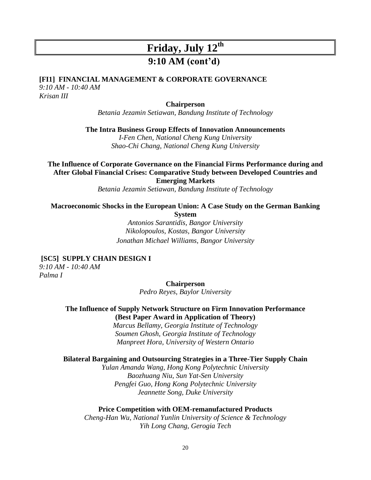## **9:10 AM (cont'd)**

#### **[FI1] FINANCIAL MANAGEMENT & CORPORATE GOVERNANCE** *9:10 AM - 10:40 AM*

*Krisan III*

#### **Chairperson**

*Betania Jezamin Setiawan, Bandung Institute of Technology*

**The Intra Business Group Effects of Innovation Announcements**

*I-Fen Chen, National Cheng Kung University Shao-Chi Chang, National Cheng Kung University*

**The Influence of Corporate Governance on the Financial Firms Performance during and After Global Financial Crises: Comparative Study between Developed Countries and Emerging Markets**

*Betania Jezamin Setiawan, Bandung Institute of Technology*

**Macroeconomic Shocks in the European Union: A Case Study on the German Banking** 

**System**

*Antonios Sarantidis, Bangor University Nikolopoulos, Kostas, Bangor University Jonathan Michael Williams, Bangor University*

#### **[SC5] SUPPLY CHAIN DESIGN I**

*9:10 AM - 10:40 AM Palma I*

> **Chairperson** *Pedro Reyes, Baylor University*

#### **The Influence of Supply Network Structure on Firm Innovation Performance (Best Paper Award in Application of Theory)**

*Marcus Bellamy, Georgia Institute of Technology Soumen Ghosh, Georgia Institute of Technology Manpreet Hora, University of Western Ontario*

#### **Bilateral Bargaining and Outsourcing Strategies in a Three-Tier Supply Chain**

*Yulan Amanda Wang, Hong Kong Polytechnic University Baozhuang Niu, Sun Yat-Sen University Pengfei Guo, Hong Kong Polytechnic University Jeannette Song, Duke University*

#### **Price Competition with OEM-remanufactured Products**

*Cheng-Han Wu, National Yunlin University of Science & Technology Yih Long Chang, Gerogia Tech*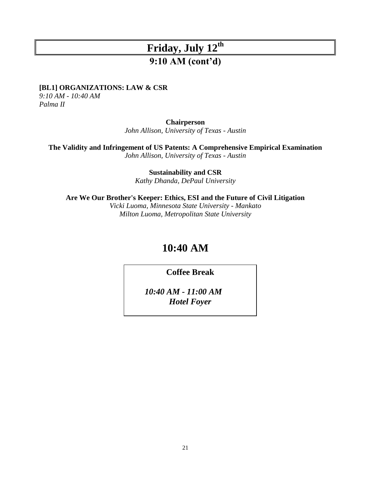## **9:10 AM (cont'd)**

#### **[BL1] ORGANIZATIONS: LAW & CSR**

*9:10 AM - 10:40 AM Palma II*

#### **Chairperson**

*John Allison, University of Texas - Austin*

**The Validity and Infringement of US Patents: A Comprehensive Empirical Examination**

*John Allison, University of Texas - Austin*

**Sustainability and CSR** *Kathy Dhanda, DePaul University*

**Are We Our Brother's Keeper: Ethics, ESI and the Future of Civil Litigation**

*Vicki Luoma, Minnesota State University - Mankato Milton Luoma, Metropolitan State University*

## **10:40 AM**

### **Coffee Break**

*10:40 AM - 11:00 AM Hotel Foyer*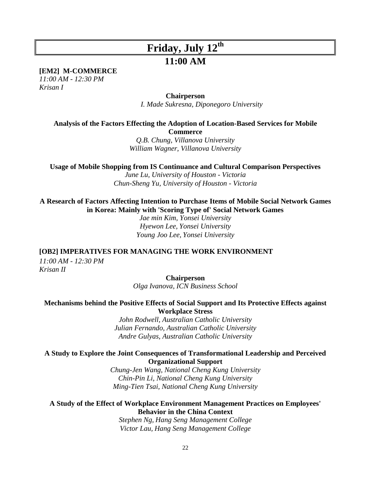### **11:00 AM**

**[EM2] M-COMMERCE**

*11:00 AM - 12:30 PM Krisan I*

**Chairperson**

*I. Made Sukresna, Diponegoro University*

**Analysis of the Factors Effecting the Adoption of Location-Based Services for Mobile Commerce**

> *Q.B. Chung, Villanova University William Wagner, Villanova University*

**Usage of Mobile Shopping from IS Continuance and Cultural Comparison Perspectives**

*June Lu, University of Houston - Victoria Chun-Sheng Yu, University of Houston - Victoria*

**A Research of Factors Affecting Intention to Purchase Items of Mobile Social Network Games in Korea: Mainly with 'Scoring Type of' Social Network Games**

*Jae min Kim, Yonsei University Hyewon Lee, Yonsei University Young Joo Lee, Yonsei University*

**[OB2] IMPERATIVES FOR MANAGING THE WORK ENVIRONMENT**

*11:00 AM - 12:30 PM Krisan II*

> **Chairperson** *Olga Ivanova, ICN Business School*

#### **Mechanisms behind the Positive Effects of Social Support and Its Protective Effects against Workplace Stress**

*John Rodwell, Australian Catholic University Julian Fernando, Australian Catholic University Andre Gulyas, Australian Catholic University*

#### **A Study to Explore the Joint Consequences of Transformational Leadership and Perceived Organizational Support**

*Chung-Jen Wang, National Cheng Kung University Chin-Pin Li, National Cheng Kung University Ming-Tien Tsai, National Cheng Kung University*

#### **A Study of the Effect of Workplace Environment Management Practices on Employees' Behavior in the China Context**

*Stephen Ng, Hang Seng Management College Victor Lau, Hang Seng Management College*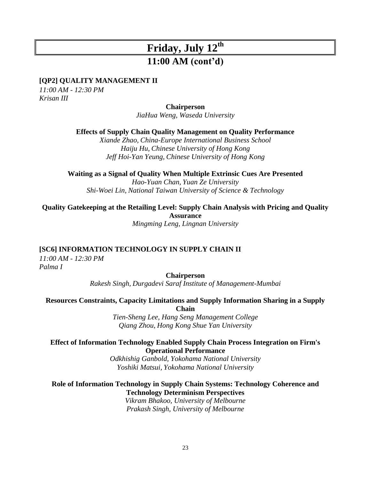## **11:00 AM (cont'd)**

#### **[QP2] QUALITY MANAGEMENT II**

*11:00 AM - 12:30 PM Krisan III*

**Chairperson**

*JiaHua Weng, Waseda University*

**Effects of Supply Chain Quality Management on Quality Performance**

*Xiande Zhao, China-Europe International Business School Haiju Hu, Chinese University of Hong Kong Jeff Hoi-Yan Yeung, Chinese University of Hong Kong*

**Waiting as a Signal of Quality When Multiple Extrinsic Cues Are Presented**

*Hao-Yuan Chan, Yuan Ze University Shi-Woei Lin, National Taiwan University of Science & Technology*

**Quality Gatekeeping at the Retailing Level: Supply Chain Analysis with Pricing and Quality Assurance** *Mingming Leng, Lingnan University*

**[SC6] INFORMATION TECHNOLOGY IN SUPPLY CHAIN II**

*11:00 AM - 12:30 PM Palma I*

#### **Chairperson**

*Rakesh Singh, Durgadevi Saraf Institute of Management-Mumbai*

#### **Resources Constraints, Capacity Limitations and Supply Information Sharing in a Supply Chain**

*Tien-Sheng Lee, Hang Seng Management College Qiang Zhou, Hong Kong Shue Yan University*

#### **Effect of Information Technology Enabled Supply Chain Process Integration on Firm's Operational Performance**

*Odkhishig Ganbold, Yokohama National University Yoshiki Matsui, Yokohama National University*

#### **Role of Information Technology in Supply Chain Systems: Technology Coherence and Technology Determinism Perspectives**

*Vikram Bhakoo, University of Melbourne Prakash Singh, University of Melbourne*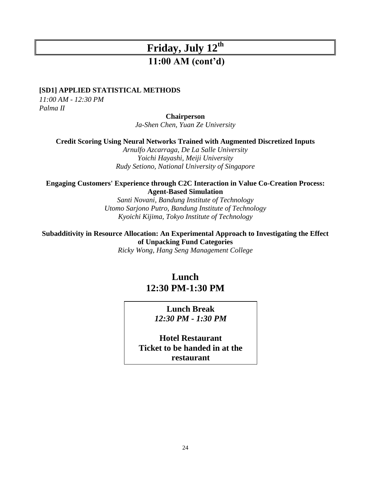### **11:00 AM (cont'd)**

#### **[SD1] APPLIED STATISTICAL METHODS**

*11:00 AM - 12:30 PM Palma II*

**Chairperson**

*Ja-Shen Chen, Yuan Ze University*

**Credit Scoring Using Neural Networks Trained with Augmented Discretized Inputs**

*Arnulfo Azcarraga, De La Salle University Yoichi Hayashi, Meiji University Rudy Setiono, National University of Singapore*

#### **Engaging Customers' Experience through C2C Interaction in Value Co-Creation Process: Agent-Based Simulation**

*Santi Novani, Bandung Institute of Technology Utomo Sarjono Putro, Bandung Institute of Technology Kyoichi Kijima, Tokyo Institute of Technology*

**Subadditivity in Resource Allocation: An Experimental Approach to Investigating the Effect of Unpacking Fund Categories**

*Ricky Wong, Hang Seng Management College*

### **Lunch 12:30 PM-1:30 PM**

### **Lunch Break** *12:30 PM - 1:30 PM*

**Hotel Restaurant Ticket to be handed in at the restaurant**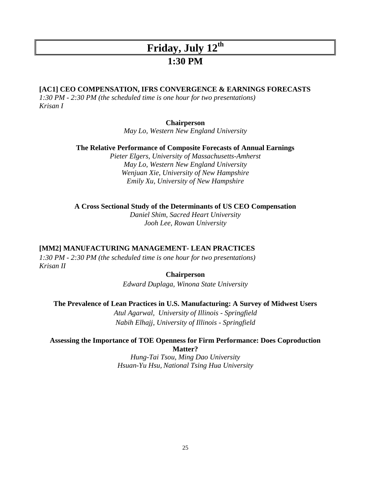### **1:30 PM**

#### **[AC1] CEO COMPENSATION, IFRS CONVERGENCE & EARNINGS FORECASTS**

*1:30 PM - 2:30 PM (the scheduled time is one hour for two presentations) Krisan I*

#### **Chairperson**

*May Lo, Western New England University*

**The Relative Performance of Composite Forecasts of Annual Earnings**

*Pieter Elgers, University of Massachusetts-Amherst May Lo, Western New England University Wenjuan Xie, University of New Hampshire Emily Xu, University of New Hampshire*

**A Cross Sectional Study of the Determinants of US CEO Compensation**

*Daniel Shim, Sacred Heart University Jooh Lee, Rowan University*

#### **[MM2] MANUFACTURING MANAGEMENT- LEAN PRACTICES**

*1:30 PM - 2:30 PM (the scheduled time is one hour for two presentations) Krisan II*

#### **Chairperson**

*Edward Duplaga, Winona State University*

#### **The Prevalence of Lean Practices in U.S. Manufacturing: A Survey of Midwest Users**

*Atul Agarwal, University of Illinois - Springfield Nabih Elhajj, University of Illinois - Springfield*

#### **Assessing the Importance of TOE Openness for Firm Performance: Does Coproduction Matter?**

*Hung-Tai Tsou, Ming Dao University Hsuan-Yu Hsu, National Tsing Hua University*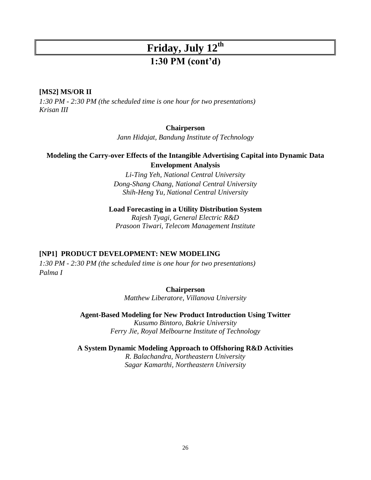## **Friday, July 12th 1:30 PM (cont'd)**

#### **[MS2] MS/OR II**

*1:30 PM - 2:30 PM (the scheduled time is one hour for two presentations) Krisan III*

#### **Chairperson**

*Jann Hidajat, Bandung Institute of Technology*

#### **Modeling the Carry-over Effects of the Intangible Advertising Capital into Dynamic Data Envelopment Analysis**

*Li-Ting Yeh, National Central University Dong-Shang Chang, National Central University Shih-Heng Yu, National Central University*

**Load Forecasting in a Utility Distribution System**

*Rajesh Tyagi, General Electric R&D Prasoon Tiwari, Telecom Management Institute*

#### **[NP1] PRODUCT DEVELOPMENT: NEW MODELING**

*1:30 PM - 2:30 PM (the scheduled time is one hour for two presentations) Palma I*

#### **Chairperson**

*Matthew Liberatore, Villanova University*

**Agent-Based Modeling for New Product Introduction Using Twitter** *Kusumo Bintoro, Bakrie University Ferry Jie, Royal Melbourne Institute of Technology*

**A System Dynamic Modeling Approach to Offshoring R&D Activities**

*R. Balachandra, Northeastern University Sagar Kamarthi, Northeastern University*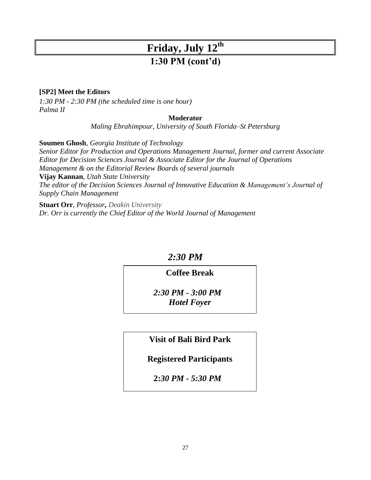## **Friday, July 12th 1:30 PM (cont'd)**

#### **[SP2] Meet the Editors**

*1:30 PM - 2:30 PM (the scheduled time is one hour) Palma II*

#### **Moderator**

*Maling Ebrahimpour, University of South Florida–St Petersburg*

**Soumen Ghosh**, *Georgia Institute of Technology*

*Senior Editor for Production and Operations Management Journal, former and current Associate Editor for Decision Sciences Journal & Associate Editor for the Journal of Operations Management & on the Editorial Review Boards of several journals* **Vijay Kannan**, *Utah State University The editor of the Decision Sciences Journal of Innovative Education & Management's Journal of Supply Chain Management*

**Stuart Orr**, *Professor, Deakin University Dr. Orr is currently the Chief Editor of the World Journal of Management*

### *2:30 PM*

### **Coffee Break**

*2:30 PM - 3:00 PM Hotel Foyer*

### **Visit of Bali Bird Park**

**Registered Participants**

**2:***30 PM - 5:30 PM*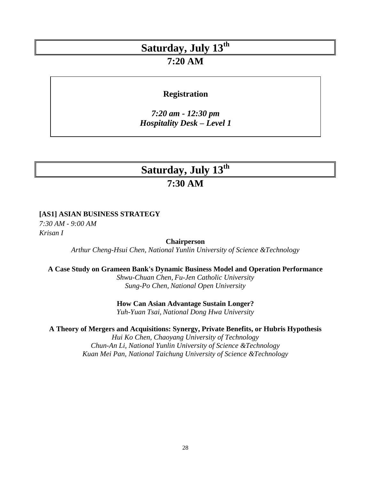### **7:20 AM**

### **Registration**

*7:20 am - 12:30 pm Hospitality Desk – Level 1*

# **Saturday, July 13th**

## **7:30 AM**

#### **[AS1] ASIAN BUSINESS STRATEGY**

*7:30 AM - 9:00 AM Krisan I*

#### **Chairperson**

*Arthur Cheng-Hsui Chen, National Yunlin University of Science &Technology*

#### **A Case Study on Grameen Bank's Dynamic Business Model and Operation Performance**

*Shwu-Chuan Chen, Fu-Jen Catholic University Sung-Po Chen, National Open University*

#### **How Can Asian Advantage Sustain Longer?**

*Yuh-Yuan Tsai, National Dong Hwa University*

#### **A Theory of Mergers and Acquisitions: Synergy, Private Benefits, or Hubris Hypothesis**

*Hui Ko Chen, Chaoyang University of Technology Chun-An Li, National Yunlin University of Science &Technology Kuan Mei Pan, National Taichung University of Science &Technology*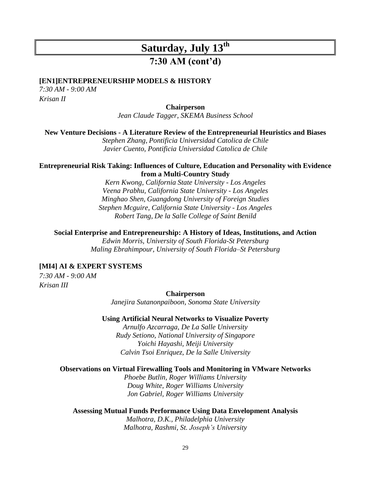### **7:30 AM (cont'd)**

#### **[EN1]ENTREPRENEURSHIP MODELS & HISTORY**

*7:30 AM - 9:00 AM Krisan II*

#### **Chairperson**

*Jean Claude Tagger, SKEMA Business School*

#### **New Venture Decisions - A Literature Review of the Entrepreneurial Heuristics and Biases**

*Stephen Zhang, Pontificia Universidad Catolica de Chile Javier Cuento, Pontificia Universidad Catolica de Chile*

#### **Entrepreneurial Risk Taking: Influences of Culture, Education and Personality with Evidence from a Multi-Country Study**

*Kern Kwong, California State University - Los Angeles Veena Prabhu, California State University - Los Angeles Minghao Shen, Guangdong University of Foreign Studies Stephen Mcguire, California State University - Los Angeles Robert Tang, De la Salle College of Saint Benild*

#### **Social Enterprise and Entrepreneurship: A History of Ideas, Institutions, and Action**

*Edwin Morris, University of South Florida-St Petersburg Maling Ebrahimpour, University of South Florida–St Petersburg*

#### **[MI4] AI & EXPERT SYSTEMS**

*7:30 AM - 9:00 AM Krisan III*

> **Chairperson** *Janejira Sutanonpaiboon, Sonoma State University*

#### **Using Artificial Neural Networks to Visualize Poverty**

*Arnulfo Azcarraga, De La Salle University Rudy Setiono, National University of Singapore Yoichi Hayashi, Meiji University Calvin Tsoi Enriquez, De la Salle University*

#### **Observations on Virtual Firewalling Tools and Monitoring in VMware Networks**

*Phoebe Butlin, Roger Williams University Doug White, Roger Williams University Jon Gabriel, Roger Williams University*

#### **Assessing Mutual Funds Performance Using Data Envelopment Analysis** *Malhotra, D.K., Philadelphia University Malhotra, Rashmi, St. Joseph's University*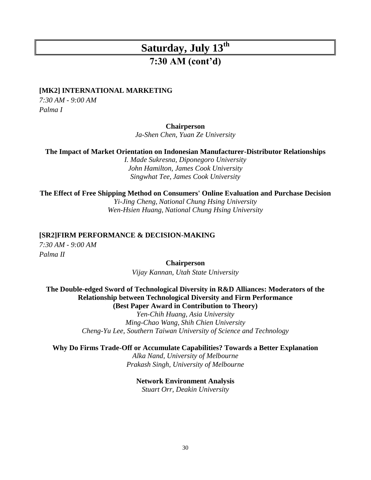### **7:30 AM (cont'd)**

#### **[MK2] INTERNATIONAL MARKETING**

*7:30 AM - 9:00 AM Palma I*

#### **Chairperson**

*Ja-Shen Chen, Yuan Ze University*

**The Impact of Market Orientation on Indonesian Manufacturer-Distributor Relationships**

*I. Made Sukresna, Diponegoro University John Hamilton, James Cook University Singwhat Tee, James Cook University*

**The Effect of Free Shipping Method on Consumers' Online Evaluation and Purchase Decision** *Yi-Jing Cheng, National Chung Hsing University Wen-Hsien Huang, National Chung Hsing University*

#### **[SR2]FIRM PERFORMANCE & DECISION-MAKING**

*7:30 AM - 9:00 AM Palma II*

**Chairperson**

*Vijay Kannan, Utah State University*

#### **The Double-edged Sword of Technological Diversity in R&D Alliances: Moderators of the Relationship between Technological Diversity and Firm Performance (Best Paper Award in Contribution to Theory)**

*Yen-Chih Huang, Asia University Ming-Chao Wang, Shih Chien University Cheng-Yu Lee, Southern Taiwan University of Science and Technology*

#### **Why Do Firms Trade-Off or Accumulate Capabilities? Towards a Better Explanation**

*Alka Nand, University of Melbourne Prakash Singh, University of Melbourne*

### **Network Environment Analysis**

*Stuart Orr, Deakin University*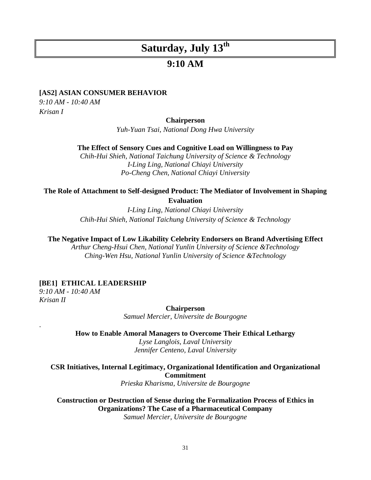### **9:10 AM**

#### **[AS2] ASIAN CONSUMER BEHAVIOR**

*9:10 AM - 10:40 AM Krisan I*

#### **Chairperson**

*Yuh-Yuan Tsai, National Dong Hwa University*

**The Effect of Sensory Cues and Cognitive Load on Willingness to Pay**

*Chih-Hui Shieh, National Taichung University of Science & Technology I-Ling Ling, National Chiayi University Po-Cheng Chen, National Chiayi University*

#### **The Role of Attachment to Self-designed Product: The Mediator of Involvement in Shaping Evaluation**

*I-Ling Ling, National Chiayi University Chih-Hui Shieh, National Taichung University of Science & Technology*

**The Negative Impact of Low Likability Celebrity Endorsers on Brand Advertising Effect**

*Arthur Cheng-Hsui Chen, National Yunlin University of Science &Technology Ching-Wen Hsu, National Yunlin University of Science &Technology*

#### **[BE1] ETHICAL LEADERSHIP**

*9:10 AM - 10:40 AM Krisan II*

.

**Chairperson**

*Samuel Mercier, Universite de Bourgogne*

**How to Enable Amoral Managers to Overcome Their Ethical Lethargy** *Lyse Langlois, Laval University Jennifer Centeno, Laval University*

**CSR Initiatives, Internal Legitimacy, Organizational Identification and Organizational Commitment**

*Prieska Kharisma, Universite de Bourgogne*

**Construction or Destruction of Sense during the Formalization Process of Ethics in Organizations? The Case of a Pharmaceutical Company** *Samuel Mercier, Universite de Bourgogne*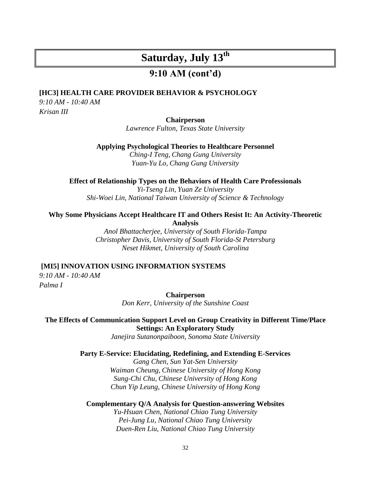### **9:10 AM (cont'd)**

### **[HC3] HEALTH CARE PROVIDER BEHAVIOR & PSYCHOLOGY**

*9:10 AM - 10:40 AM Krisan III*

#### **Chairperson**

*Lawrence Fulton, Texas State University*

**Applying Psychological Theories to Healthcare Personnel**

*Ching-I Teng, Chang Gung University Yuan-Yu Lo, Chang Gung University*

#### **Effect of Relationship Types on the Behaviors of Health Care Professionals**

*Yi-Tseng Lin, Yuan Ze University Shi-Woei Lin, National Taiwan University of Science & Technology*

#### **Why Some Physicians Accept Healthcare IT and Others Resist It: An Activity-Theoretic Analysis**

*Anol Bhattacherjee, University of South Florida-Tampa Christopher Davis, University of South Florida-St Petersburg Neset Hikmet, University of South Carolina*

#### **[MI5] INNOVATION USING INFORMATION SYSTEMS**

*9:10 AM - 10:40 AM Palma I*

> **Chairperson** *Don Kerr, University of the Sunshine Coast*

#### **The Effects of Communication Support Level on Group Creativity in Different Time/Place Settings: An Exploratory Study**

*Janejira Sutanonpaiboon, Sonoma State University*

#### **Party E-Service: Elucidating, Redefining, and Extending E-Services**

*Gang Chen, Sun Yat-Sen University Waiman Cheung, Chinese University of Hong Kong Sung-Chi Chu, Chinese University of Hong Kong Chun Yip Leung, Chinese University of Hong Kong*

#### **Complementary Q/A Analysis for Question-answering Websites**

*Yu-Hsuan Chen, National Chiao Tung University Pei-Jung Lu, National Chiao Tung University Duen-Ren Liu, National Chiao Tung University*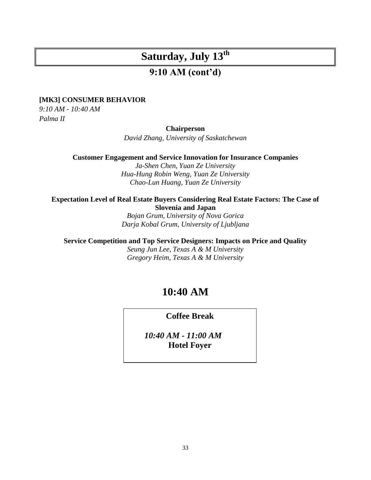### **9:10 AM (cont'd)**

#### **[MK3] CONSUMER BEHAVIOR**

*9:10 AM - 10:40 AM Palma II*

#### **Chairperson**

*David Zhang, University of Saskatchewan*

**Customer Engagement and Service Innovation for Insurance Companies**

*Ja-Shen Chen, Yuan Ze University Hua-Hung Robin Weng, Yuan Ze University Chao-Lun Huang, Yuan Ze University*

#### **Expectation Level of Real Estate Buyers Considering Real Estate Factors: The Case of Slovenia and Japan**

*Bojan Grum, University of Nova Gorica Darja Kobal Grum, University of Ljubljana*

**Service Competition and Top Service Designers: Impacts on Price and Quality**

*Seung Jun Lee, Texas A & M University Gregory Heim, Texas A & M University*

## **10:40 AM**

**Coffee Break**

*10:40 AM - 11:00 AM* **Hotel Foyer**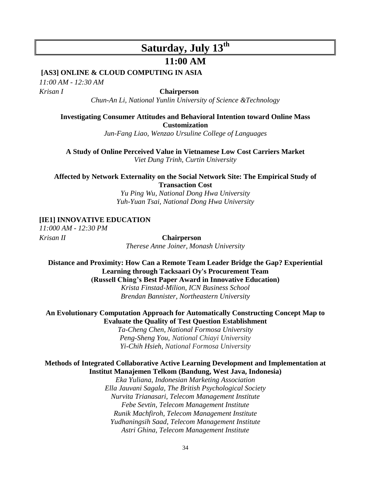#### **11:00 AM**

#### **[AS3] ONLINE & CLOUD COMPUTING IN ASIA**

*11:00 AM - 12:30 AM Krisan I* **Chairperson**

*Chun-An Li, National Yunlin University of Science &Technology*

### **Investigating Consumer Attitudes and Behavioral Intention toward Online Mass Customization**

*Jun-Fang Liao, Wenzao Ursuline College of Languages*

**A Study of Online Perceived Value in Vietnamese Low Cost Carriers Market** *Viet Dung Trinh, Curtin University*

**Affected by Network Externality on the Social Network Site: The Empirical Study of Transaction Cost**

> *Yu Ping Wu, National Dong Hwa University Yuh-Yuan Tsai, National Dong Hwa University*

#### **[IE1] INNOVATIVE EDUCATION**

*11:000 AM - 12:30 PM*

*Krisan II* **Chairperson** *Therese Anne Joiner, Monash University*

**Distance and Proximity: How Can a Remote Team Leader Bridge the Gap? Experiential Learning through Tacksaari Oy's Procurement Team (Russell Ching's Best Paper Award in Innovative Education)** *Krista Finstad-Milion, ICN Business School*

*Brendan Bannister, Northeastern University*

#### **An Evolutionary Computation Approach for Automatically Constructing Concept Map to Evaluate the Quality of Test Question Establishment**

*Ta-Cheng Chen, National Formosa University Peng-Sheng You, National Chiayi University Yi-Chih Hsieh, National Formosa University*

#### **Methods of Integrated Collaborative Active Learning Development and Implementation at Institut Manajemen Telkom (Bandung, West Java, Indonesia)**

*Eka Yuliana, Indonesian Marketing Association Ella Jauvani Sagala, The British Psychological Society Nurvita Trianasari, Telecom Management Institute Febe Sevtin, Telecom Management Institute Runik Machfiroh, Telecom Management Institute Yudhaningsih Saad, Telecom Management Institute Astri Ghina, Telecom Management Institute*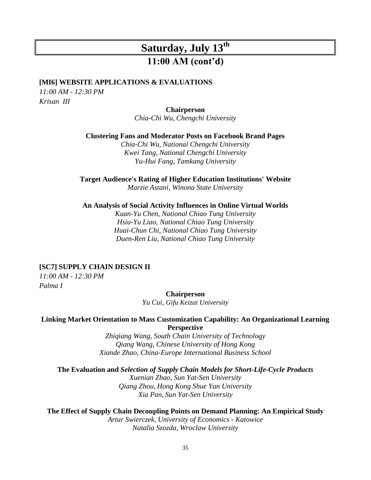## **Saturday, July 13th 11:00 AM (cont'd)**

#### **[MI6] WEBSITE APPLICATIONS & EVALUATIONS**

*11:00 AM - 12:30 PM Krisan III*

**Chairperson**

*Chia-Chi Wu, Chengchi University*

**Clustering Fans and Moderator Posts on Facebook Brand Pages**

*Chia-Chi Wu, National Chengchi University Kwei Tang, National Chengchi University Yu-Hui Fang, Tamkang University*

**Target Audience's Rating of Higher Education Institutions' Website**

*Marzie Astani, Winona State University*

**An Analysis of Social Activity Influences in Online Virtual Worlds**

*Kuan-Yu Chen, National Chiao Tung University Hsiu-Yu Liao, National Chiao Tung University Huai-Chun Chi, National Chiao Tung University Duen-Ren Liu, National Chiao Tung University*

#### **[SC7] SUPPLY CHAIN DESIGN II**

*11:00 AM - 12:30 PM Palma I*

**Chairperson**

*Yu Cui, Gifu Keizai University*

#### **Linking Market Orientation to Mass Customization Capability: An Organizational Learning Perspective**

*Zhiqiang Wang, South Chain University of Technology Qiang Wang, Chinese University of Hong Kong Xiande Zhao, China-Europe International Business School*

**The Evaluation and** *Selection of Supply Chain Models for Short-Life-Cycle Products Xuenian Zhao, Sun Yat-Sen University Qiang Zhou, Hong Kong Shue Yan University Xia Pan, Sun Yat-Sen University*

**The Effect of Supply Chain Decoupling Points on Demand Planning: An Empirical Study** *Artur Swierczek, University of Economics - Katowice Natalia Szozda, Wroclaw University*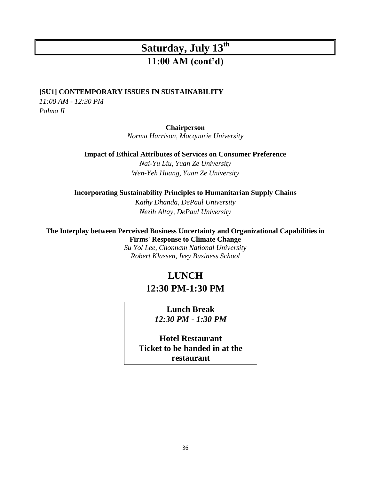## **Saturday, July 13th 11:00 AM (cont'd)**

#### **[SU1] CONTEMPORARY ISSUES IN SUSTAINABILITY**

*11:00 AM - 12:30 PM Palma II*

#### **Chairperson**

*Norma Harrison, Macquarie University*

**Impact of Ethical Attributes of Services on Consumer Preference**

*Nai-Yu Liu, Yuan Ze University Wen-Yeh Huang, Yuan Ze University*

#### **Incorporating Sustainability Principles to Humanitarian Supply Chains**

*Kathy Dhanda, DePaul University Nezih Altay, DePaul University*

#### **The Interplay between Perceived Business Uncertainty and Organizational Capabilities in Firms' Response to Climate Change**

*Su Yol Lee, Chonnam National University Robert Klassen, Ivey Business School*

### **LUNCH**

### **12:30 PM-1:30 PM**

**Lunch Break** *12:30 PM - 1:30 PM*

**Hotel Restaurant Ticket to be handed in at the restaurant**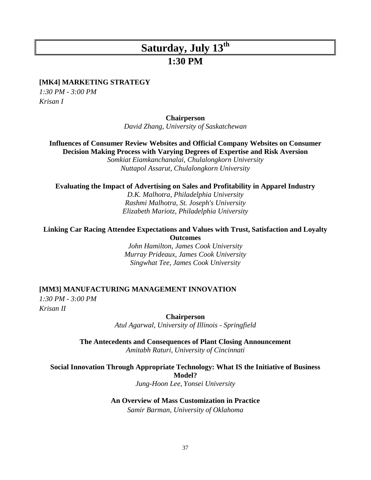### **1:30 PM**

#### **[MK4] MARKETING STRATEGY**

*1:30 PM - 3:00 PM Krisan I*

**Chairperson**

*David Zhang, University of Saskatchewan*

**Influences of Consumer Review Websites and Official Company Websites on Consumer Decision Making Process with Varying Degrees of Expertise and Risk Aversion**

*Somkiat Eiamkanchanalai, Chulalongkorn University Nuttapol Assarut, Chulalongkorn University*

#### **Evaluating the Impact of Advertising on Sales and Profitability in Apparel Industry**

*D.K. Malhotra, Philadelphia University Rashmi Malhotra, St. Joseph's University Elizabeth Mariotz, Philadelphia University*

#### **Linking Car Racing Attendee Expectations and Values with Trust, Satisfaction and Loyalty Outcomes**

*John Hamilton, James Cook University Murray Prideaux, James Cook University Singwhat Tee, James Cook University*

#### **[MM3] MANUFACTURING MANAGEMENT INNOVATION**

*1:30 PM - 3:00 PM Krisan II*

> **Chairperson** *Atul Agarwal, University of Illinois - Springfield*

**The Antecedents and Consequences of Plant Closing Announcement** *Amitabh Raturi, University of Cincinnati*

**Social Innovation Through Appropriate Technology: What IS the Initiative of Business Model?** 

*Jung-Hoon Lee, Yonsei University*

#### **An Overview of Mass Customization in Practice**

*Samir Barman, University of Oklahoma*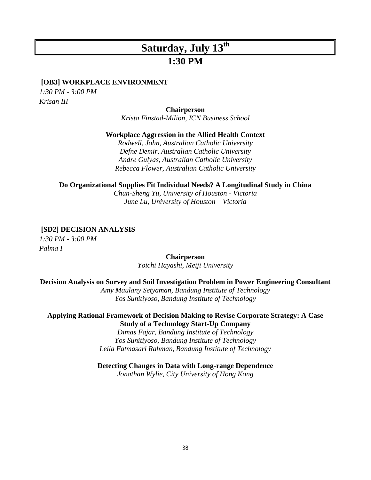### **1:30 PM**

#### **[OB3] WORKPLACE ENVIRONMENT**

*1:30 PM - 3:00 PM Krisan III*

#### **Chairperson**

*Krista Finstad-Milion, ICN Business School* 

#### **Workplace Aggression in the Allied Health Context**

*Rodwell, John, Australian Catholic University Defne Demir, Australian Catholic University Andre Gulyas, Australian Catholic University Rebecca Flower, Australian Catholic University*

#### **Do Organizational Supplies Fit Individual Needs? A Longitudinal Study in China**

*Chun-Sheng Yu, University of Houston - Victoria June Lu, University of Houston – Victoria*

#### **[SD2] DECISION ANALYSIS**

*1:30 PM - 3:00 PM Palma I*

#### **Chairperson**

*Yoichi Hayashi, Meiji University*

#### **Decision Analysis on Survey and Soil Investigation Problem in Power Engineering Consultant**

*Amy Maulany Setyaman, Bandung Institute of Technology Yos Sunitiyoso, Bandung Institute of Technology*

#### **Applying Rational Framework of Decision Making to Revise Corporate Strategy: A Case Study of a Technology Start-Up Company**

*Dimas Fajar, Bandung Institute of Technology Yos Sunitiyoso, Bandung Institute of Technology Leila Fatmasari Rahman, Bandung Institute of Technology*

#### **Detecting Changes in Data with Long-range Dependence**

*Jonathan Wylie, City University of Hong Kong*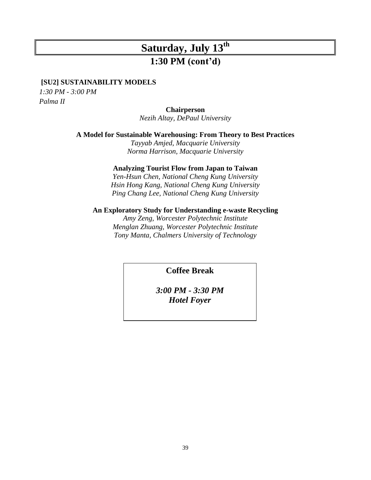## **Saturday, July 13th 1:30 PM (cont'd)**

#### **[SU2] SUSTAINABILITY MODELS**

*1:30 PM - 3:00 PM Palma II*

#### **Chairperson**

*Nezih Altay, DePaul University*

#### **A Model for Sustainable Warehousing: From Theory to Best Practices**

*Tayyab Amjed, Macquarie University Norma Harrison, Macquarie University*

#### **Analyzing Tourist Flow from Japan to Taiwan**

*Yen-Hsun Chen, National Cheng Kung University Hsin Hong Kang, National Cheng Kung University Ping Chang Lee, National Cheng Kung University* 

#### **An Exploratory Study for Understanding e-waste Recycling**

*Amy Zeng, Worcester Polytechnic Institute Menglan Zhuang, Worcester Polytechnic Institute Tony Manta, Chalmers University of Technology*

**Coffee Break**

*3:00 PM - 3:30 PM Hotel Foyer*